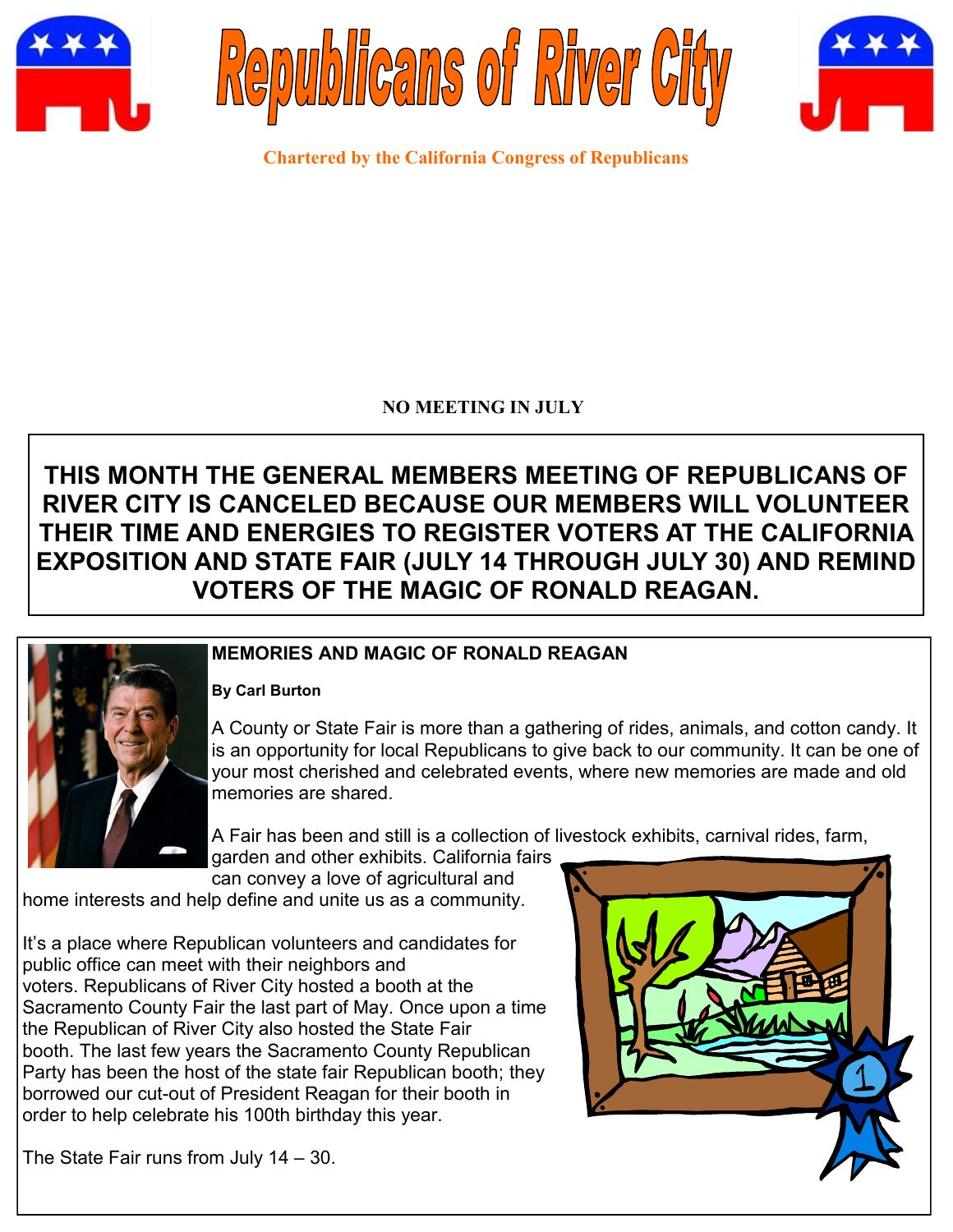





**Chartered by the California Congress of Republicans**

## **NO MEETING IN JULY**

# **THIS MONTH THE GENERAL MEMBERS MEETING OF REPUBLICANS OF RIVER CITY IS CANCELED BECAUSE OUR MEMBERS WILL VOLUNTEER THEIR TIME AND ENERGIES TO REGISTER VOTERS AT THE CALIFORNIA EXPOSITION AND STATE FAIR (JULY 14 THROUGH JULY 30) AND REMIND VOTERS OF THE MAGIC OF RONALD REAGAN.**



## **MEMORIES AND MAGIC OF RONALD REAGAN**

#### **By Carl Burton**

A County or State Fair is more than a gathering of rides, animals, and cotton candy. It is an opportunity for local Republicans to give back to our community. It can be one of your most cherished and celebrated events, where new memories are made and old memories are shared.

A Fair has been and still is a collection of livestock exhibits, carnival rides, farm,

garden and other exhibits. California fairs can convey a love of agricultural and

home interests and help define and unite us as a community.

It's a place where Republican volunteers and candidates for public office can meet with their neighbors and voters. Republicans of River City hosted a booth at the Sacramento County Fair the last part of May. Once upon a time the Republican of River City also hosted the State Fair booth. The last few years the Sacramento County Republican Party has been the host of the state fair Republican booth; they borrowed our cut-out of President Reagan for their booth in order to help celebrate his 100th birthday this year.



The State Fair runs from July 14 – 30.